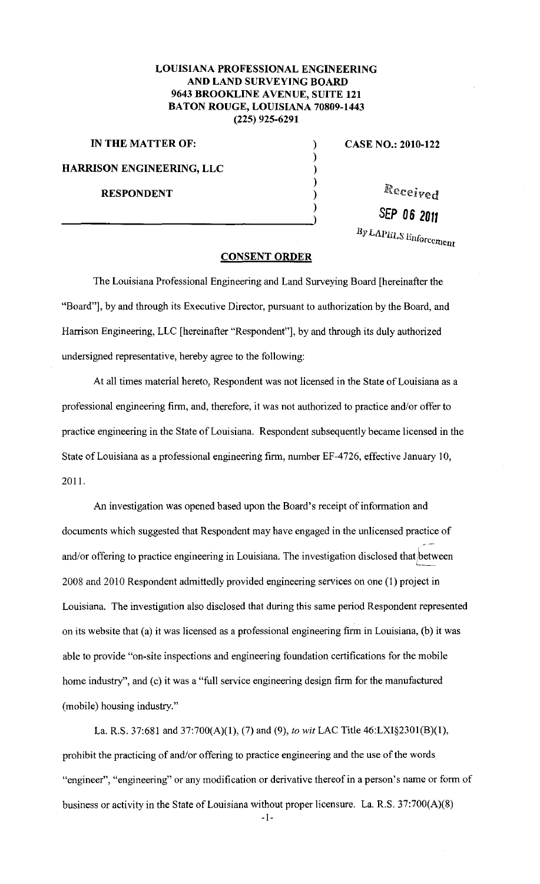## **LOUISIANA PROFESSIONAL ENGINEERING AND LAND SURVEYING BOARD 9643 BROOKLINE A VENUE, SUITE 121 BATON ROUGE, LOUISIANA 70809-1443 (225) 925-6291**

) ) ) ) ) )

**IN THE MATTER OF:** (a) **CASE NO.: 2010-122 HARRISON ENGINEERING, LLC RESPONDENT** 

Received

**SEP 06 20rt** 

*lly LAPIILS Enforcement* 

## **CONSENT ORDER**

The Louisiana Professional Engineering and Land Surveying Board [hereinafter the "Board"], by and through its Executive Director, pursuant to authorization by the Board, and Harrison Engineering, LLC [hereinafter "Respondent"], by and through its duly authorized undersigned representative, hereby agree to the following:

At all times material hereto, Respondent was not licensed in the State of Louisiana as a professional engineering firm, and, therefore, it was not authorized to practice and/or offer to practice engineering in the State of Louisiana. Respondent subsequently became licensed in the State of Louisiana as a professional engineering firm, number EF-4726, effective January 10, 2011.

An investigation was opened based upon the Board's receipt of information and documents which suggested that Respondent may have engaged in the unlicensed practice of and/or offering to practice engineering in Louisiana. The investigation disclosed that between 2008 and 2010 Respondent admittedly provided engineering services on one (I) project in Louisiana. The investigation also disclosed that during this same period Respondent represented on its website that (a) it was licensed as a professional engineering firm in Louisiana, (b) it was able to provide "on-site inspections and engineering foundation certifications for the mobile home industry", and (c) it was a "full service engineering design firm for the manufactured (mobile) housing industry."

La. R.S. 37:681 and 37:700(A)(l), (7) and (9), *to wit* LAC Title 46:LXI§230l(B)(l), prohibit the practicing of and/or offering to practice engineering and the use of the words "engineer", "engineering" or any modification or derivative thereof in a person's name or form of business or activity in the State of Louisiana without proper licensure. La. R.S. 37:700(A)(8)

-I-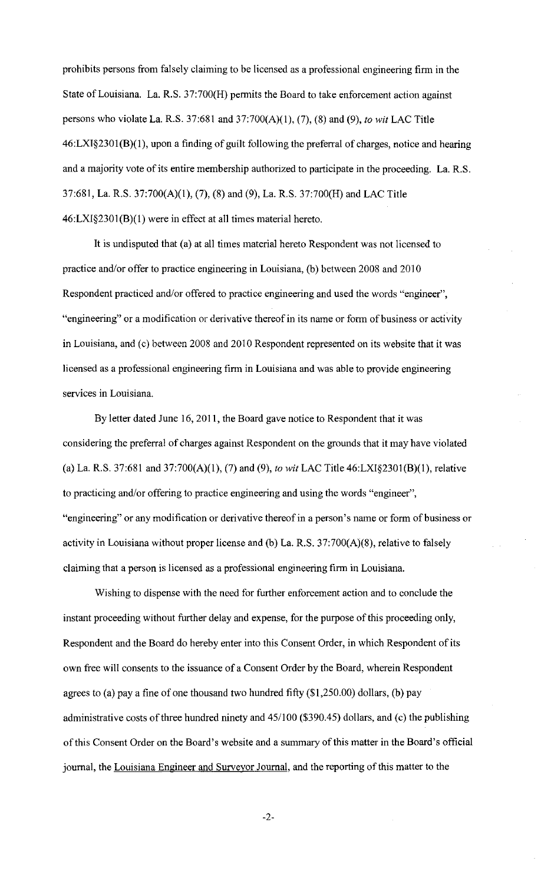prohibits persons from falsely claiming to be licensed as a professional engineering firm in the State of Louisiana. La. R.S. 37:700(H) permits the Board to take enforcement action against persons who violate La. R.S. 37:681 and 37:700(A)(l), (7), (8) and (9), *to wit* LAC Title 46:LXI§2301(B)(l), upon a finding of guilt following the preferral of charges, notice and hearing and a majority vote of its entire membership authorized to participate in the proceeding. La. R.S. 37:681, La. R.S. 37:700(A)(1), (7), (8) and (9), La. R.S. 37:700(H) and LAC Title 46:LXI§2301(B)(l) were in effect at all times material hereto.

It is undisputed that (a) at all times material hereto Respondent was not licensed to practice and/or offer to practice engineering in Louisiana, (b) between 2008 and 2010 Respondent practiced and/or offered to practice engineering and used the words "engineer", "engineering" or a modification or derivative thereof in its name or form of business or activity in Louisiana, and (c) between 2008 and 2010 Respondent represented on its website that it was licensed as a professional engineering firm in Louisiana and was able to provide engineering services in Louisiana.

By letter dated June 16, 2011, the Board gave notice to Respondent that it was considering the preferral of charges against Respondent on the grounds that it may have violated (a) La. R.S. 37:681 and 37:700(A)(l), (7) and (9), *to wit* LAC Title 46:LXI§2301(B)(l), relative to practicing and/or offering to practice engineering and using the words "engineer", "engineering" or any modification or derivative thereof in a person's name or form of business or activity in Louisiana without proper license and (b) La. R.S. 37:700(A)(8), relative to falsely claiming that a person is licensed as a professional engineering firm in Louisiana.

Wishing to dispense with the need for further enforcement action and to conclude the instant proceeding without further delay and expense, for the purpose of this proceeding only, Respondent and the Board do hereby enter into this Consent Order, in which Respondent of its own free will consents to the issuance of a Consent Order by the Board, wherein Respondent agrees to (a) pay a fine of one thousand two hundred fifty (\$1,250.00) dollars, (b) pay administrative costs of three hundred ninety and 45/100 (\$390.45) dollars, and (c) the publishing of this Consent Order on the Board's website and a summary of this matter in the Board's official journal, the Louisiana Engineer and Surveyor Journal, and the reporting of this matter to the

-2-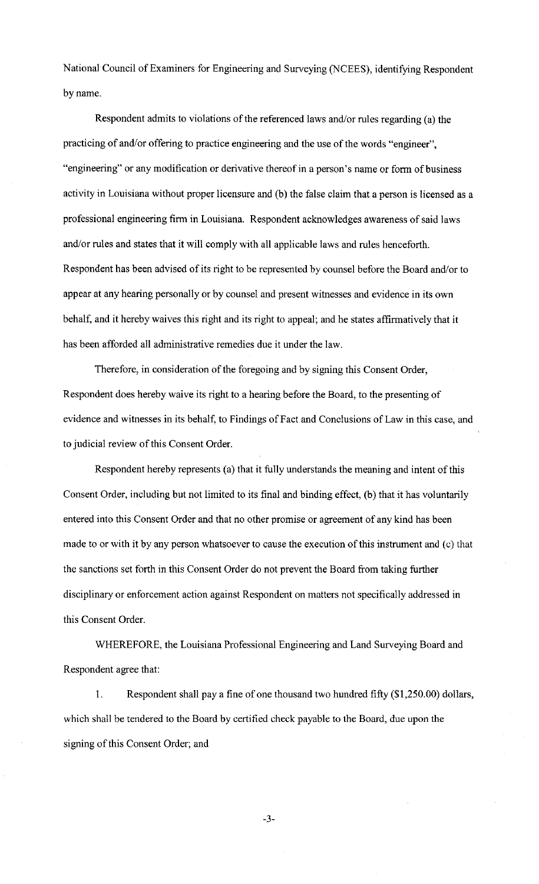National Council of Examiners for Engineering and Surveying (NCEES), identifying Respondent by name.

Respondent admits to violations of the referenced laws and/or rules regarding (a) the practicing of and/or offering to practice engineering and the use of the words "engineer", "engineering" or any modification or derivative thereof in a person's name or form of business activity in Louisiana without proper licensure and (b) the false claim that a person is licensed as a professional engineering firm in Louisiana. Respondent acknowledges awareness of said laws and/or rules and states that it will comply with all applicable laws and rules henceforth. Respondent has been advised of its right to be represented by counsel before the Board and/or to appear at any hearing personally or by counsel and present witnesses and evidence in its own behalf, and it hereby waives this right and its right to appeal; and he states affirmatively that it has been afforded all administrative remedies due it under the law.

Therefore, in consideration of the foregoing and by signing this Consent Order, Respondent does hereby waive its right to a hearing before the Board, to the presenting of evidence and witnesses in its behalf, to Findings of Fact and Conclusions of Law in this case, and to judicial review of this Consent Order.

Respondent hereby represents (a) that it fully understands the meaning and intent of this Consent Order, including but not limited to its final and binding effect, (b) that it has voluntarily entered into this Consent Order and that no other promise or agreement of any kind has been made to or with it by any person whatsoever to cause the execution of this instrument and (c) that the sanctions set forth in this Consent Order do not prevent the Board from taking further disciplinary or enforcement action against Respondent on matters not specifically addressed in this Consent Order.

WHEREFORE, the Louisiana Professional Engineering and Land Surveying Board and Respondent agree that:

1. Respondent shall pay a fine of one thousand two hundred fifty (\$1 ,250.00) dollars, which shall be tendered to the Board by certified check payable to the Board, due upon the signing of this Consent Order; and

-3-